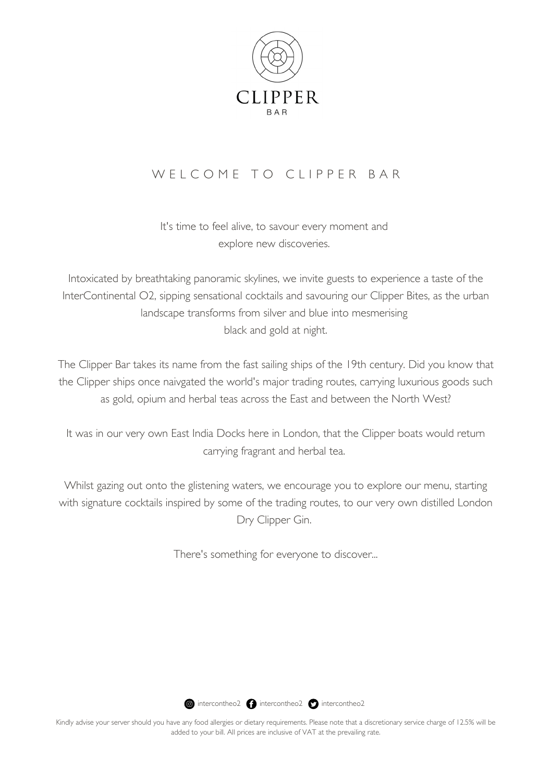

# W E L C O M E T O CLIPPER BAR

It's time to feel alive, to savour every moment and explore new discoveries.

Intoxicated by breathtaking panoramic skylines, we invite guests to experience a taste of the InterContinental O2, sipping sensational cocktails and savouring our Clipper Bites, as the urban landscape transforms from silver and blue into mesmerising black and gold at night.

The Clipper Bar takes its name from the fast sailing ships of the 19th century. Did you know that the Clipper ships once naivgated the world's major trading routes, carrying luxurious goods such as gold, opium and herbal teas across the East and between the North West?

It was in our very own East India Docks here in London, that the Clipper boats would return carrying fragrant and herbal tea.

Whilst gazing out onto the glistening waters, we encourage you to explore our menu, starting with signature cocktails inspired by some of the trading routes, to our very own distilled London Dry Clipper Gin.

There's something for everyone to discover...

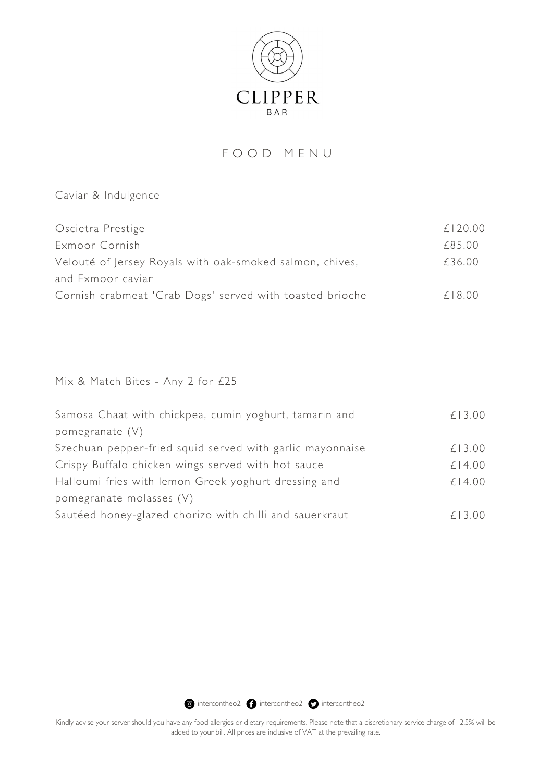

### F O O D M E N U

Caviar & Indulgence

| Oscietra Prestige                                        | £120.00 |
|----------------------------------------------------------|---------|
| Exmoor Cornish                                           | £85.00  |
| Velouté of Jersey Royals with oak-smoked salmon, chives, | £36.00  |
| and Exmoor caviar                                        |         |
| Cornish crabmeat 'Crab Dogs' served with toasted brioche | f18.00  |

Mix & Match Bites - Any 2 for £25

| Samosa Chaat with chickpea, cumin yoghurt, tamarin and    | £13.00 |
|-----------------------------------------------------------|--------|
| pomegranate $(V)$                                         |        |
| Szechuan pepper-fried squid served with garlic mayonnaise | £13.00 |
| Crispy Buffalo chicken wings served with hot sauce        | £14.00 |
| Halloumi fries with lemon Greek yoghurt dressing and      | £14.00 |
| pomegranate molasses (V)                                  |        |
| Sautéed honey-glazed chorizo with chilli and sauerkraut   | £13.00 |

**@** intercontheo2 **@** intercontheo2 **@** intercontheo2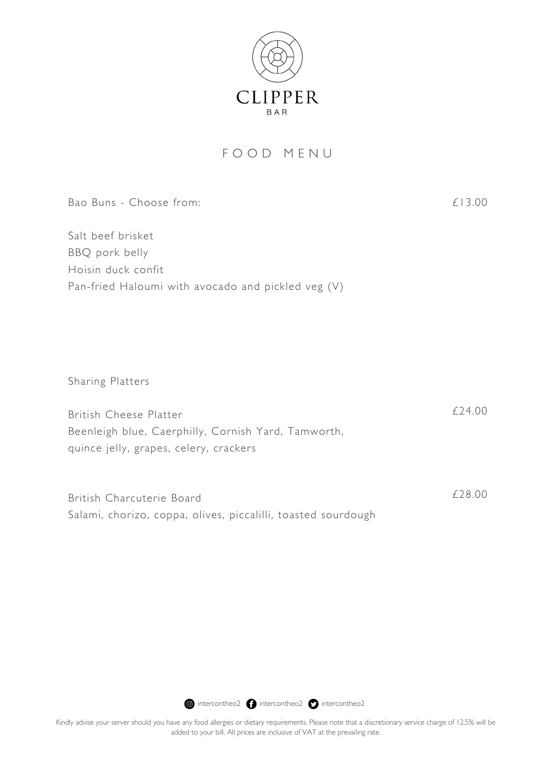

### F O O D M E N U

| Bao Buns - Choose from:                                                                                                 | £13.00 |
|-------------------------------------------------------------------------------------------------------------------------|--------|
| Salt beef brisket<br>BBQ pork belly<br>Hoisin duck confit<br>Pan-fried Haloumi with avocado and pickled veg (V)         |        |
| Sharing Platters                                                                                                        |        |
| British Cheese Platter<br>Beenleigh blue, Caerphilly, Cornish Yard, Tamworth,<br>quince jelly, grapes, celery, crackers | £24.00 |
| British Charcuterie Board<br>Salami, chorizo, coppa, olives, piccalilli, toasted sourdough                              | £28.00 |

**intercontheo2 intercontheo2** intercontheo2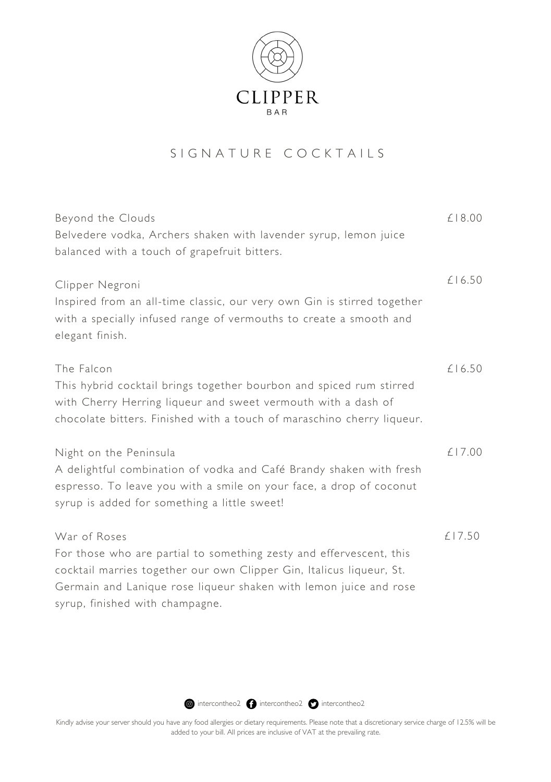

# S I G N A T U R E C O C K T A I L S

| Beyond the Clouds                                                                                                                    | £18.00 |
|--------------------------------------------------------------------------------------------------------------------------------------|--------|
| Belvedere vodka, Archers shaken with lavender syrup, lemon juice                                                                     |        |
| balanced with a touch of grapefruit bitters.                                                                                         |        |
| Clipper Negroni<br>Inspired from an all-time classic, our very own Gin is stirred together                                           | £16.50 |
| with a specially infused range of vermouths to create a smooth and<br>elegant finish.                                                |        |
| The Falcon                                                                                                                           | £16.50 |
| This hybrid cocktail brings together bourbon and spiced rum stirred<br>with Cherry Herring liqueur and sweet vermouth with a dash of |        |
| chocolate bitters. Finished with a touch of maraschino cherry liqueur.                                                               |        |
| Night on the Peninsula                                                                                                               | £17.00 |
| A delightful combination of vodka and Café Brandy shaken with fresh                                                                  |        |
| espresso. To leave you with a smile on your face, a drop of coconut<br>syrup is added for something a little sweet!                  |        |
| War of Roses                                                                                                                         | £17.50 |
| For those who are partial to something zesty and effervescent, this                                                                  |        |
| cocktail marries together our own Clipper Gin, Italicus liqueur, St.                                                                 |        |
| Germain and Lanique rose liqueur shaken with lemon juice and rose                                                                    |        |
| syrup, finished with champagne.                                                                                                      |        |

**intercontheo2 intercontheo2** intercontheo2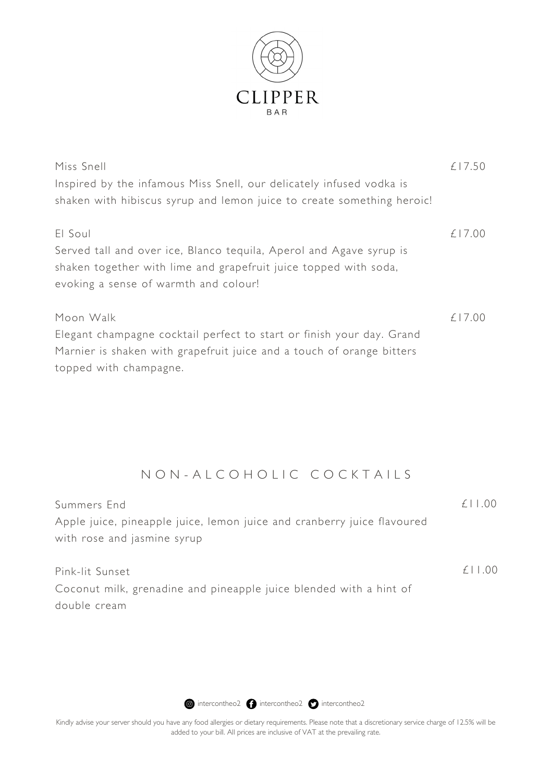

| Miss Snell                                                                                                                              | £17.50 |
|-----------------------------------------------------------------------------------------------------------------------------------------|--------|
| Inspired by the infamous Miss Snell, our delicately infused vodka is                                                                    |        |
| shaken with hibiscus syrup and lemon juice to create something heroic!                                                                  |        |
| El Soul                                                                                                                                 | £17.00 |
| Served tall and over ice, Blanco tequila, Aperol and Agave syrup is<br>shaken together with lime and grapefruit juice topped with soda, |        |
| evoking a sense of warmth and colour!                                                                                                   |        |
| Moon Walk                                                                                                                               | £17.00 |
| Elegant champagne cocktail perfect to start or finish your day. Grand                                                                   |        |
| Marnier is shaken with grapefruit juice and a touch of orange bitters                                                                   |        |
| topped with champagne.                                                                                                                  |        |
|                                                                                                                                         |        |

# N O N - A L C O H O L I C C O C K T A I L S

| Summers End                                                             | $f \perp 00$ |
|-------------------------------------------------------------------------|--------------|
| Apple juice, pineapple juice, lemon juice and cranberry juice flavoured |              |
| with rose and jasmine syrup                                             |              |
|                                                                         |              |
| Pink-lit Sunset                                                         | $f \perp 00$ |
| Coconut milk, grenadine and pineapple juice blended with a hint of      |              |
| double cream                                                            |              |

**intercontheo2 intercontheo2** intercontheo2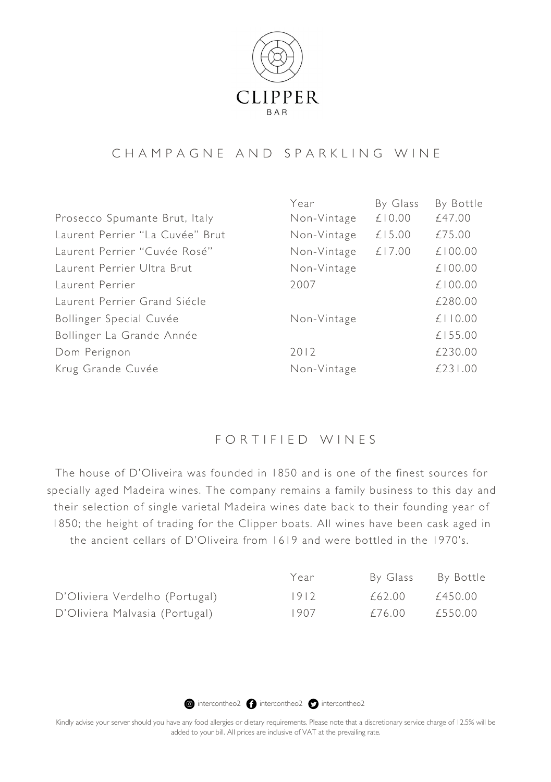

### C H A M P A G N E A N D S P A R K L I N G W I N E

|                                 | Year        | By Glass | By Bottle     |
|---------------------------------|-------------|----------|---------------|
| Prosecco Spumante Brut, Italy   | Non-Vintage | £10.00   | £47.00        |
| Laurent Perrier "La Cuvée" Brut | Non-Vintage | £15.00   | £75.00        |
| Laurent Perrier "Cuvée Rosé"    | Non-Vintage | £17.00   | £100.00       |
| Laurent Perrier Ultra Brut      | Non-Vintage |          | £100.00       |
| Laurent Perrier                 | 2007        |          | £100.00       |
| Laurent Perrier Grand Siécle    |             |          | £280.00       |
| Bollinger Special Cuvée         | Non-Vintage |          | $£$   $ 0.00$ |
| Bollinger La Grande Année       |             |          | £155.00       |
| Dom Perignon                    | 2012        |          | £230.00       |
| Krug Grande Cuvée               | Non-Vintage |          | £231.00       |

### FORTIFIED WINES

The house of D'Oliveira was founded in 1850 and is one of the finest sources for specially aged Madeira wines. The company remains a family business to this day and their selection of single varietal Madeira wines date back to their founding year of 1850; the height of trading for the Clipper boats. All wines have been cask aged in the ancient cellars of D'Oliveira from 1619 and were bottled in the 1970's.

|                                | Year   | By Glass | By Bottle |
|--------------------------------|--------|----------|-----------|
| D'Oliviera Verdelho (Portugal) | $1912$ | £62.00   | £450.00   |
| D'Oliviera Malvasia (Portugal) | 1907   | £76.00   | £550.00   |

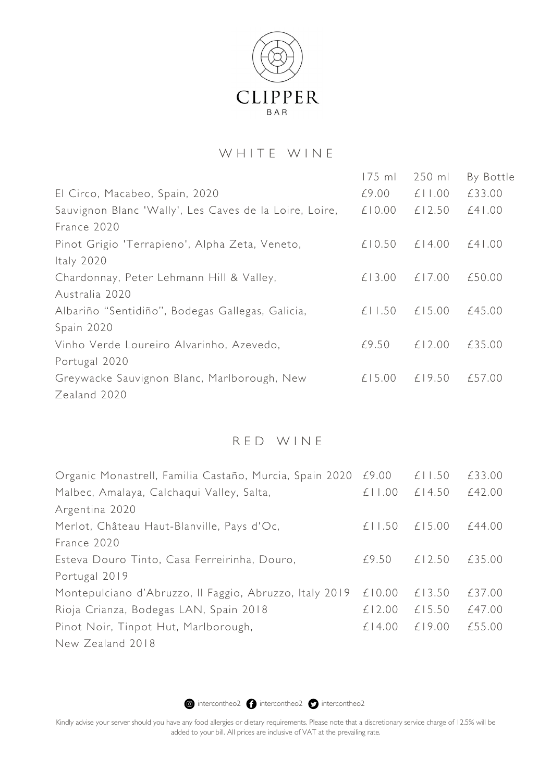

### WHITE WINE

|                                                        | $175$ ml | $250$ ml | By Bottle |
|--------------------------------------------------------|----------|----------|-----------|
| El Circo, Macabeo, Spain, 2020                         | £9.00    | £11.00   | £33.00    |
| Sauvignon Blanc 'Wally', Les Caves de la Loire, Loire, | £10.00   | £12.50   | $£4$   00 |
| France 2020                                            |          |          |           |
| Pinot Grigio 'Terrapieno', Alpha Zeta, Veneto,         | £10.50   | £14.00   | $£4$   00 |
| Italy 2020                                             |          |          |           |
| Chardonnay, Peter Lehmann Hill & Valley,               | £13.00   | £17.00   | £50.00    |
| Australia 2020                                         |          |          |           |
| Albariño "Sentidiño", Bodegas Gallegas, Galicia,       | £11.50   | £15.00   | £45.00    |
| Spain 2020                                             |          |          |           |
| Vinho Verde Loureiro Alvarinho, Azevedo,               | £9.50    | £12.00   | £35.00    |
| Portugal 2020                                          |          |          |           |
| Greywacke Sauvignon Blanc, Marlborough, New            | £15.00   | £19.50   | £57.00    |
| Zealand 2020                                           |          |          |           |

### R E D W I N E

| Organic Monastrell, Familia Castaño, Murcia, Spain 2020 £9.00 |        | £11.50 | £33.00 |
|---------------------------------------------------------------|--------|--------|--------|
| Malbec, Amalaya, Calchaqui Valley, Salta,                     | £11.00 | £14.50 | £42.00 |
| Argentina 2020                                                |        |        |        |
| Merlot, Château Haut-Blanville, Pays d'Oc,                    | £11.50 | £15.00 | £44.00 |
| France 2020                                                   |        |        |        |
| Esteva Douro Tinto, Casa Ferreirinha, Douro,                  | £9.50  | £12.50 | £35.00 |
| Portugal 2019                                                 |        |        |        |
| Montepulciano d'Abruzzo, Il Faggio, Abruzzo, Italy 2019       | £10.00 | £13.50 | £37.00 |
| Rioja Crianza, Bodegas LAN, Spain 2018                        | £12.00 | £15.50 | £47.00 |
| Pinot Noir, Tinpot Hut, Marlborough,                          | £14.00 | £19.00 | £55.00 |
| New Zealand 2018                                              |        |        |        |

**intercontheo2 intercontheo2** intercontheo2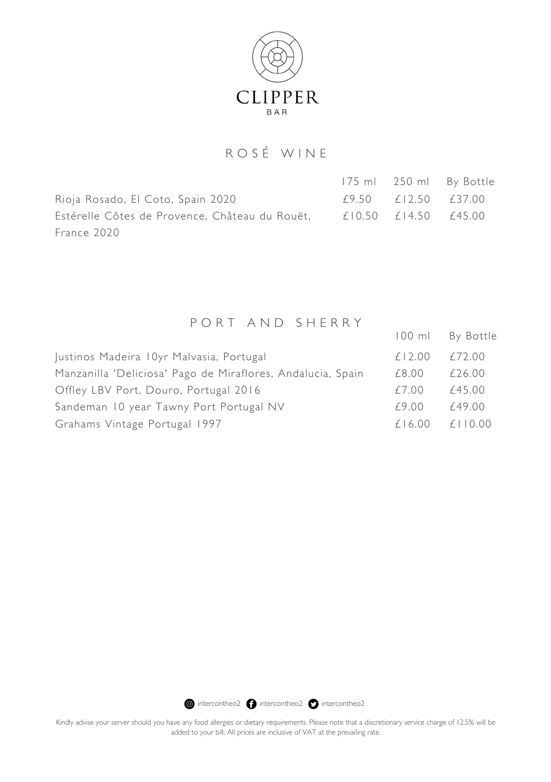

# R O S É W I N E

Rioja Rosado, El Coto, Spain 2020 Estérelle Côtes de Provence, Château du Rouët, France 2020 £9.50 £12.50 £37.00 £10.50 £14.50 £45.00 175 ml 250 ml By Bottle

## P O R T A N D S H E R R Y

|                                                             |        | 100 ml By Bottle |
|-------------------------------------------------------------|--------|------------------|
| Justinos Madeira 10yr Malvasia, Portugal                    | £12.00 | £72.00           |
| Manzanilla 'Deliciosa' Pago de Miraflores, Andalucia, Spain | £8.00  | £26.00           |
| Offley LBV Port, Douro, Portugal 2016                       | £7.00  | £45.00           |
| Sandeman 10 year Tawny Port Portugal NV                     | £9.00  | £49.00           |
| Grahams Vintage Portugal 1997                               | £16.00 | $f \perp 0.00$   |

**@** intercontheo2 **@** intercontheo2 **@** intercontheo2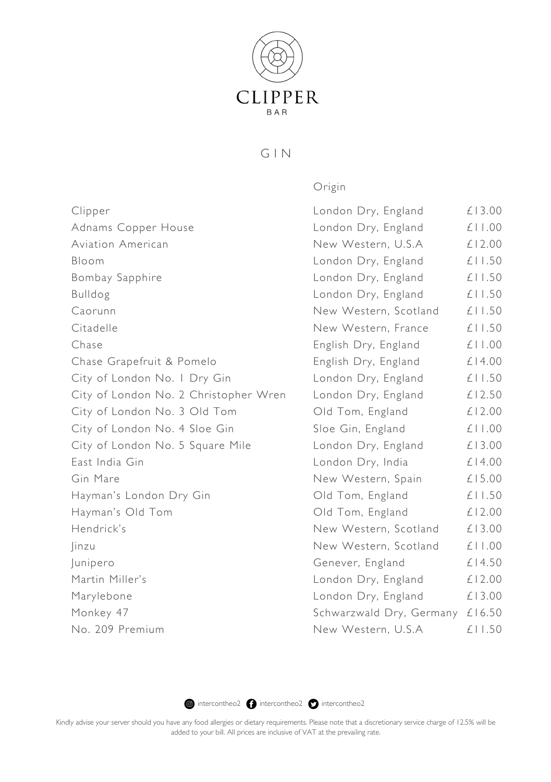

#### $G IN$

Origin

£13.00 £11.00 £12.00 £11.50 £11.50 £11.50 £11.50 £11.50 £11.00 £14.00 £11.50 £12.50 £12.00 £11.00 £13.00 £14.00 £15.00 £11.50 £12.00 £13.00 £11.00 £14.50 £12.00 £13.00

£11.50

Clipper Adnams Copper House Aviation American Bloom Bombay Sapphire Bulldog Caorunn Citadelle Chase Chase Grapefruit & Pomelo City of London No. 1 Dry Gin City of London No. 2 Christopher Wren City of London No. 3 Old Tom City of London No. 4 Sloe Gin City of London No. 5 Square Mile East India Gin Gin Mare Hayman's London Dry Gin Hayman's Old Tom Hendrick's Jinzu Junipero Martin Miller's Marylebone Monkey 47 No. 209 Premium Schwarzwald Dry, Germany £16.50 London Dry, England London Dry, England New Western, U.S.A London Dry, England London Dry, England London Dry, England New Western, Scotland New Western, France English Dry, England English Dry, England London Dry, England London Dry, England Old Tom, England Sloe Gin, England London Dry, England London Dry, India New Western, Spain Old Tom, England Old Tom, England New Western, Scotland New Western, Scotland Genever, England London Dry, England London Dry, England New Western, U.S.A

 $\bullet$  intercontheo2  $\bullet$  intercontheo2  $\bullet$  intercontheo2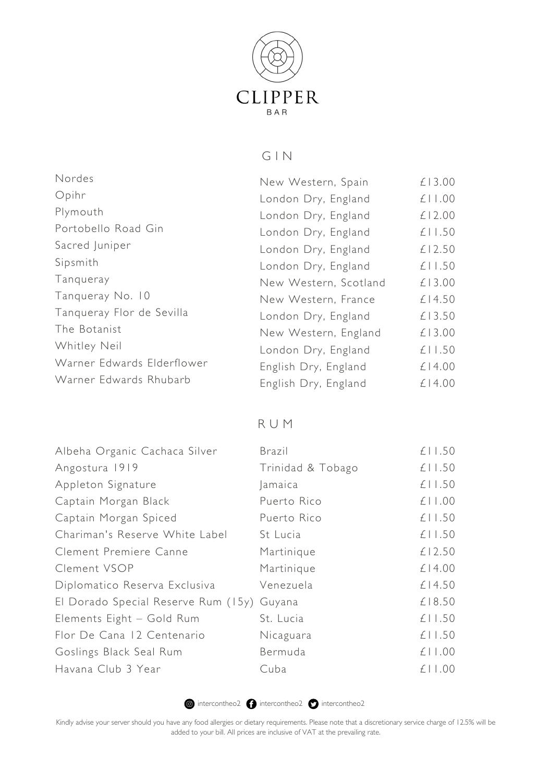

## G I N

| Nordes                     | New Western, Spain    | £13.00 |
|----------------------------|-----------------------|--------|
| Opihr                      | London Dry, England   | £11.00 |
| Plymouth                   | London Dry, England   | £12.00 |
| Portobello Road Gin        | London Dry, England   | £11.50 |
| Sacred Juniper             | London Dry, England   | £12.50 |
| Sipsmith                   | London Dry, England   | £11.50 |
| Tangueray                  | New Western, Scotland | £13.00 |
| Tangueray No. 10           | New Western, France   | £14.50 |
| Tanqueray Flor de Sevilla  | London Dry, England   | £13.50 |
| The Botanist               | New Western, England  | £13.00 |
| Whitley Neil               | London Dry, England   | £11.50 |
| Warner Edwards Elderflower | English Dry, England  | £14.00 |
| Warner Edwards Rhubarb     | English Dry, England  | £14.00 |

R U M

| Albeha Organic Cachaca Silver       | Brazil            | £11.50      |
|-------------------------------------|-------------------|-------------|
| Angostura 1919                      | Trinidad & Tobago | £11.50      |
| Appleton Signature                  | amaica            | £11.50      |
| Captain Morgan Black                | Puerto Rico       | £11.00      |
| Captain Morgan Spiced               | Puerto Rico       | £11.50      |
| Chariman's Reserve White Label      | St Lucia          | £11.50      |
| Clement Premiere Canne              | Martinique        | £12.50      |
| Clement VSOP                        | Martinique        | £14.00      |
| Diplomatico Reserva Exclusiva       | Venezuela         | £14.50      |
| El Dorado Special Reserve Rum (15y) | Guyana            | £18.50      |
| Elements Eight - Gold Rum           | St. Lucia         | £11.50      |
| Flor De Cana 12 Centenario          | Nicaguara         | £11.50      |
| Goslings Black Seal Rum             | Bermuda           | £11.00      |
| Havana Club 3 Year                  | Cuba              | $£$   $.00$ |

**intercontheo2 intercontheo2** intercontheo2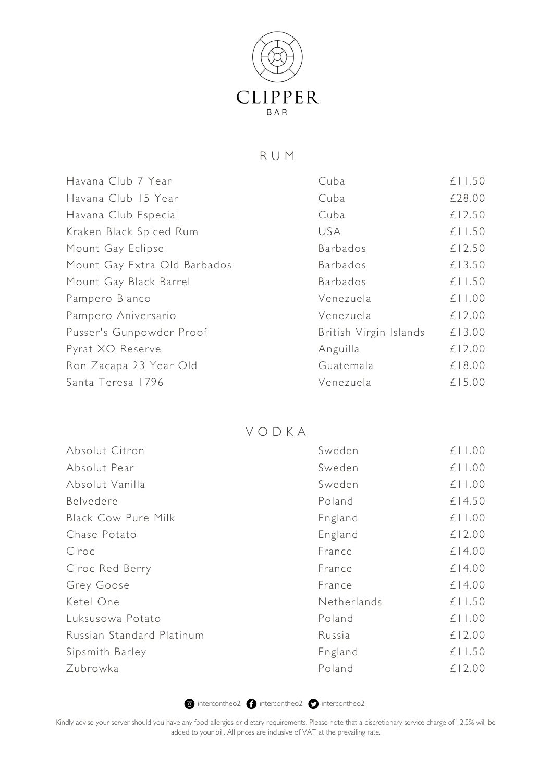

### R U M

| Cuba                   | £11.50 |
|------------------------|--------|
| Cuba                   | £28.00 |
| Cuba                   | £12.50 |
| USA.                   | £11.50 |
| <b>Barbados</b>        | £12.50 |
| <b>Barbados</b>        | £13.50 |
| <b>Barbados</b>        | £11.50 |
| Venezuela              | £11.00 |
| Venezuela              | £12.00 |
| British Virgin Islands | £13.00 |
| Anguilla               | £12.00 |
| Guatemala              | £18.00 |
| Venezuela              | £15.00 |
|                        |        |

#### V O D K A

| Absolut Citron             | Sweden      | £11.00 |
|----------------------------|-------------|--------|
| Absolut Pear               | Sweden      | £11.00 |
| Absolut Vanilla            | Sweden      | £11.00 |
| Belvedere                  | Poland      | £14.50 |
| <b>Black Cow Pure Milk</b> | England     | £11.00 |
| Chase Potato               | England     | £12.00 |
| Ciroc                      | France      | £14.00 |
| Ciroc Red Berry            | France      | £14.00 |
| Grey Goose                 | France      | £14.00 |
| Ketel One                  | Netherlands | £11.50 |
| Luksusowa Potato           | Poland      | £11.00 |
| Russian Standard Platinum  | Russia      | £12.00 |
| Sipsmith Barley            | England     | £11.50 |
| Zubrowka                   | Poland      | £12.00 |

**intercontheo2 intercontheo2** intercontheo2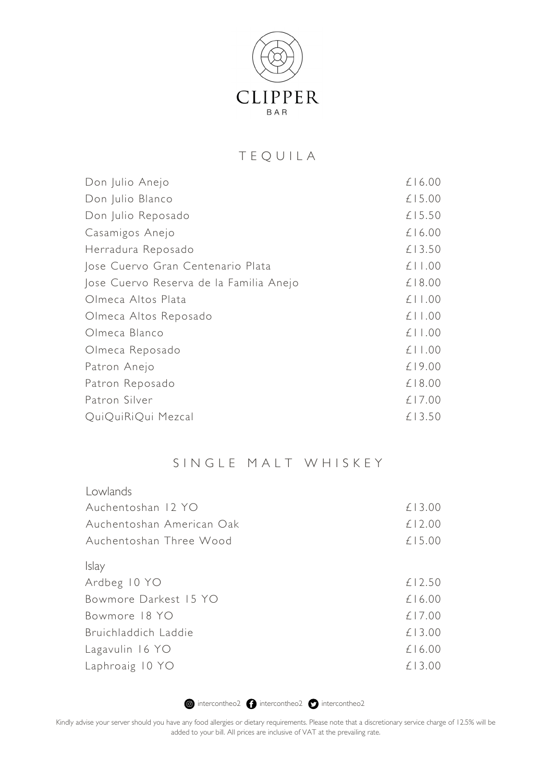

# T E Q U I L A

| Don Julio Anejo                         | $£$   6.00  |
|-----------------------------------------|-------------|
| Don Julio Blanco                        | £15.00      |
| Don Julio Reposado                      | £15.50      |
| Casamigos Anejo                         | $£$   6.00  |
| Herradura Reposado                      | £13.50      |
| Jose Cuervo Gran Centenario Plata       | $£$   $.00$ |
| Jose Cuervo Reserva de la Familia Anejo | £18.00      |
| Olmeca Altos Plata                      | $£$   $.00$ |
| Olmeca Altos Reposado                   | $£$   $.00$ |
| Olmeca Blanco                           | $£$   $.00$ |
| Olmeca Reposado                         | $£$   $.00$ |
| Patron Anejo                            | £19.00      |
| Patron Reposado                         | £18.00      |
| Patron Silver                           | £17.00      |
| QuiQuiRiQui Mezcal                      | £13.50      |
|                                         |             |

### SINGLE MALT WHISKEY

| Lowlands                  |        |
|---------------------------|--------|
| Auchentoshan 12 YO        | £13.00 |
| Auchentoshan American Oak | £12.00 |
| Auchentoshan Three Wood   | £15.00 |
| <b>Islay</b>              |        |
| Ardbeg 10 YO              | £12.50 |
| Bowmore Darkest 15 YO     | £16.00 |
| Bowmore 18 YO             | £17.00 |
| Bruichladdich Laddie      | £13.00 |
| Lagavulin 16 YO           | £16.00 |
| Laphroaig 10 YO           | £13.00 |

**intercontheo2 intercontheo2** intercontheo2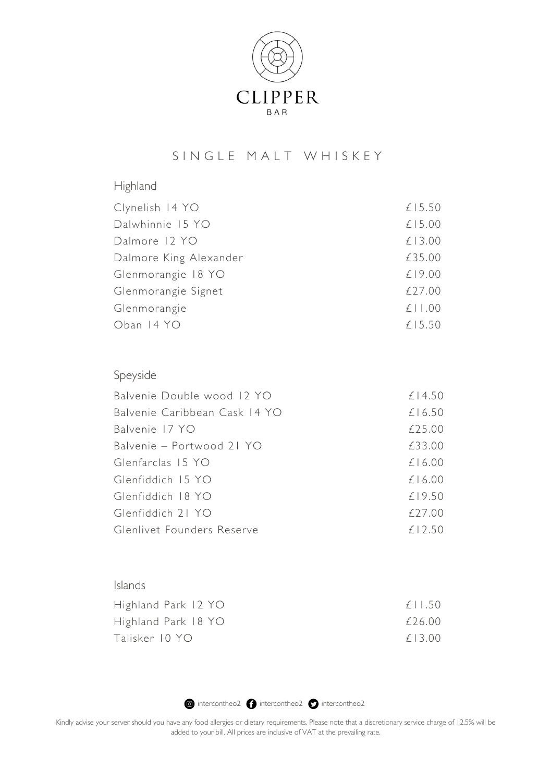

# S IN GLE MALT WHISKEY

| Highland               |        |
|------------------------|--------|
| Clynelish 14 YO        | £15.50 |
| Dalwhinnie 15 YO       | £15.00 |
| Dalmore 12 YO          | £13.00 |
| Dalmore King Alexander | £35.00 |
| Glenmorangie 18 YO     | £19.00 |
| Glenmorangie Signet    | £27.00 |
| Glenmorangie           | £11.00 |
| Oban 14 YO             | £15.50 |
|                        |        |

| Speyside                      |        |
|-------------------------------|--------|
| Balvenie Double wood 12 YO    | £14.50 |
| Balvenie Caribbean Cask 14 YO | £16.50 |
| Balvenie 17 YO                | £25.00 |
| Balvenie – Portwood 21 YO     | £33.00 |
| Glenfarclas 15 YO             | £16.00 |
| Glenfiddich 15 YO             | £16.00 |
| Glenfiddich 18 YO             | f19.50 |
| Glenfiddich 21 YO             | f27.00 |
| Glenlivet Founders Reserve    | £12.50 |

| f11.50 |
|--------|
| £26.00 |
| f13.00 |
|        |

**intercontheo2 intercontheo2** intercontheo2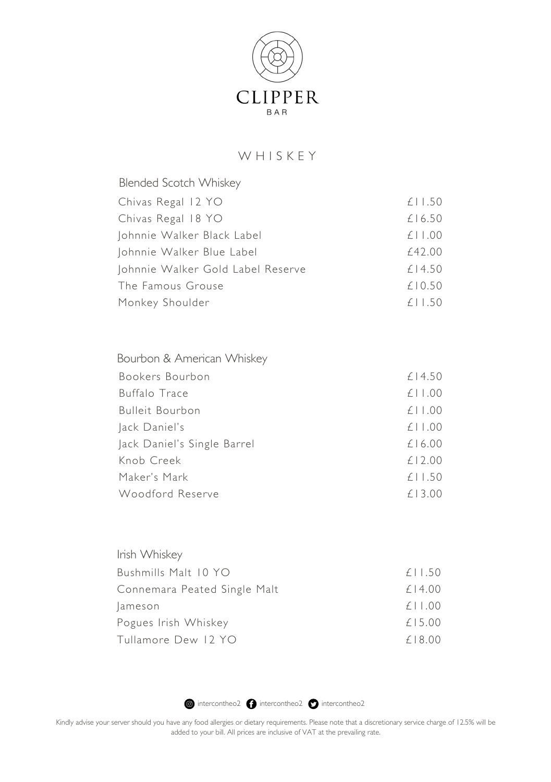

## W H I S K E Y

| <b>Blended Scotch Whiskey</b>     |             |
|-----------------------------------|-------------|
| Chivas Regal 12 YO                | £11.50      |
| Chivas Regal 18 YO                | £16.50      |
| Johnnie Walker Black Label        | $£$   $.00$ |
| Johnnie Walker Blue Label         | £42.00      |
| Johnnie Walker Gold Label Reserve | £14.50      |
| The Famous Grouse                 | £10.50      |
| Monkey Shoulder                   | £11.50      |

| £14.50      |
|-------------|
| $£$   $.00$ |
| $£$   $.00$ |
| $£$   $.00$ |
| £16.00      |
| £12.00      |
| £11.50      |
| £13.00      |
|             |

| Irish Whiskey                |                 |
|------------------------------|-----------------|
| Bushmills Malt 10 YO         | $£$   $1.50$    |
| Connemara Peated Single Malt | £14.00          |
| lameson                      | $£$   $\pm$ .00 |
| Pogues Irish Whiskey         | £15.00          |
| Tullamore Dew 12 YO          | £18.00          |

**intercontheo2 intercontheo2** intercontheo2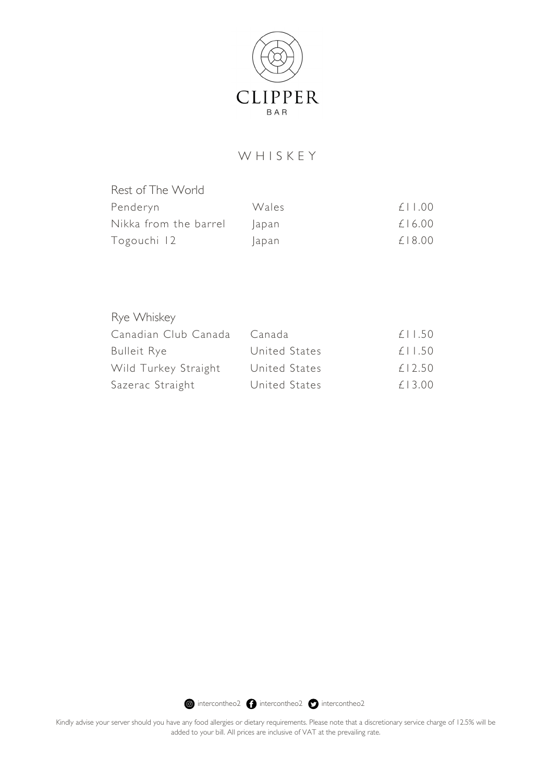

# W H I S K E Y

| Rest of The World     |       |              |
|-----------------------|-------|--------------|
| Penderyn              | Wales | $f \perp 00$ |
| Nikka from the barrel | lapan | £16.00       |
| Togouchi 12           | apan  | f18.00       |

| Rye Whiskey          |               |        |
|----------------------|---------------|--------|
| Canadian Club Canada | Canada        | £11.50 |
| <b>Bulleit Rye</b>   | United States | £11.50 |
| Wild Turkey Straight | United States | £12.50 |
| Sazerac Straight     | United States | £13.00 |

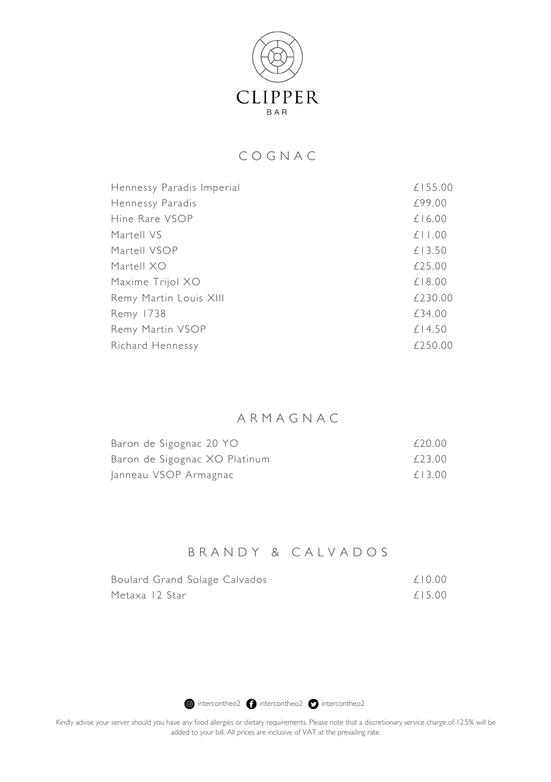

# C O G N A C

| £155.00 |
|---------|
| £99.00  |
| £16.00  |
| £11.00  |
| £13.50  |
| £25.00  |
| £18.00  |
| £230.00 |
| £34.00  |
| £14.50  |
| £250.00 |
|         |

# A R M A G N A C

| Baron de Sigognac 20 YO       | £20.00 |
|-------------------------------|--------|
| Baron de Sigognac XO Platinum | £23.00 |
| Janneau VSOP Armagnac         | £13.00 |

### B R A N D Y & C A L V A D O S

| Boulard Grand Solage Calvados | £10.00 |
|-------------------------------|--------|
| Metaxa 12 Star                | £15.00 |

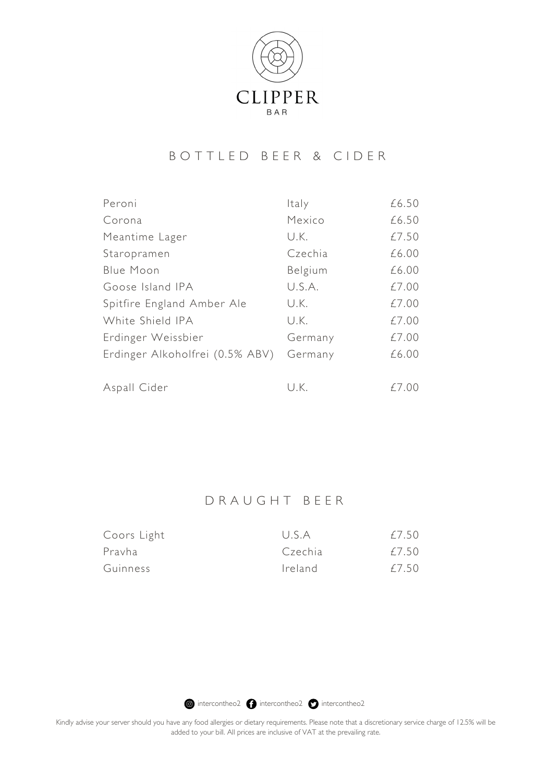

## B O T T L E D B E E R & C I D E R

| Peroni                          | Italy   | £6.50 |
|---------------------------------|---------|-------|
| Corona                          | Mexico  | £6.50 |
| Meantime Lager                  | U.K.    | £7.50 |
| Staropramen                     | Czechia | £6.00 |
| Blue Moon                       | Belgium | £6.00 |
| Goose Island IPA                | U.S.A.  | £7.00 |
| Spitfire England Amber Ale      | U.K.    | £7.00 |
| White Shield IPA                | U.K.    | £7.00 |
| Erdinger Weissbier              | Germany | £7.00 |
| Erdinger Alkoholfrei (0.5% ABV) | Germany | £6.00 |
| Aspall Cider                    | U.K.    | £7.00 |

# D R A U G H T B E E R

| Coors Light | USA     | £7.50 |
|-------------|---------|-------|
| Prayha      | Czechia | £7.50 |
| Guinness    | Ireland | £7.50 |

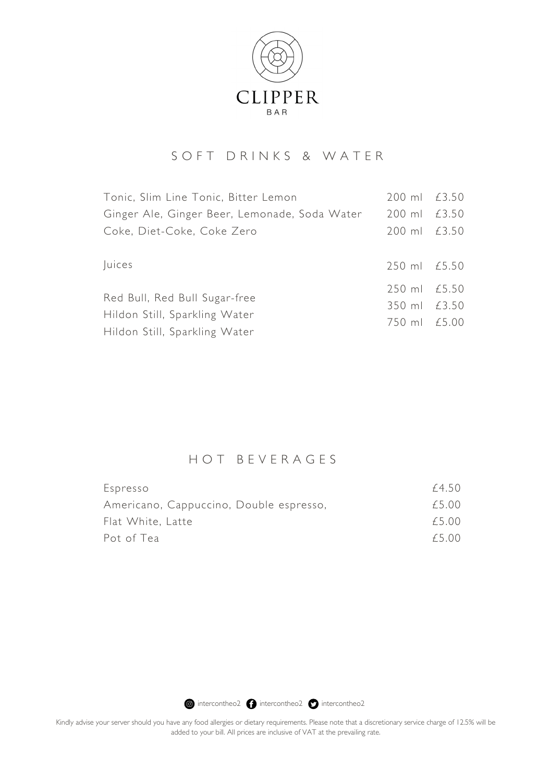

# S O F T D R I N K S & W A T E R

| Tonic, Slim Line Tonic, Bitter Lemon          | 200 ml £3.50 |  |
|-----------------------------------------------|--------------|--|
| Ginger Ale, Ginger Beer, Lemonade, Soda Water | 200 ml £3.50 |  |
| Coke, Diet-Coke, Coke Zero                    | 200 ml £3.50 |  |
|                                               |              |  |
| <i>luices</i>                                 | 250 ml £5.50 |  |
| Red Bull, Red Bull Sugar-free                 | 250 ml £5.50 |  |
|                                               | 350 ml £3.50 |  |
| Hildon Still, Sparkling Water                 | 750 ml £5.00 |  |
| Hildon Still, Sparkling Water                 |              |  |

## H O T B E V E R A G E S

| Espresso                                | £4.50 |
|-----------------------------------------|-------|
| Americano, Cappuccino, Double espresso, | £5.00 |
| Flat White, Latte                       | £5.00 |
| Pot of Tea                              | f5.00 |

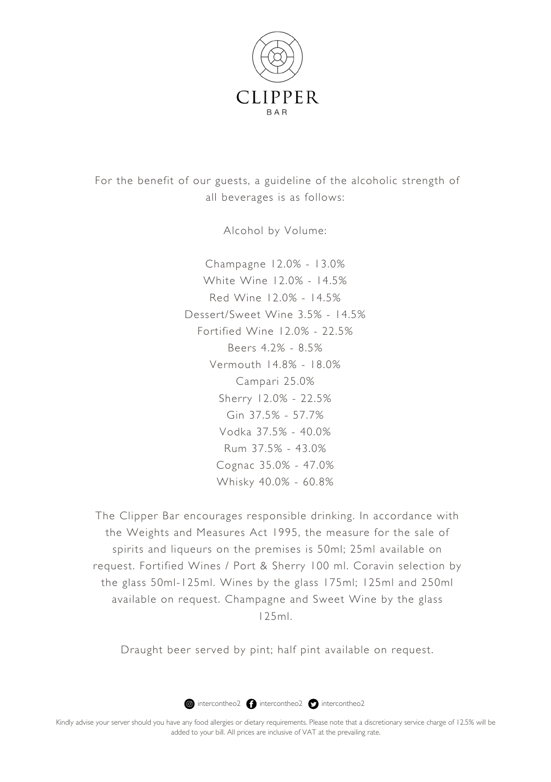

For the benefit of our guests, a guideline of the alcoholic strength of all beverages is as follows:

Alcohol by Volume:

Champagne 12.0% - 13.0% White Wine 12.0% - 14.5% Red Wine 12.0% - 14.5% Dessert/Sweet Wine 3.5% - 14.5% Fortified Wine 12.0% - 22.5% Beers 4.2% - 8.5% Vermouth 14.8% - 18.0% Campari 25.0% Sherry 12.0% - 22.5% Gin 37.5% - 57.7% Vodka 37.5% - 40.0% Rum 37.5% - 43.0% Cognac 35.0% - 47.0% Whisky 40.0% - 60.8%

The Clipper Bar encourages responsible drinking. In accordance with the Weights and Measures Act 1995, the measure for the sale of spirits and liqueurs on the premises is 50ml; 25ml available on request. Fortified Wines / Port & Sherry 100 ml. Coravin selection by the glass 50ml-125ml. Wines by the glass 175ml; 125ml and 250ml available on request. Champagne and Sweet Wine by the glass 125ml.

Draught beer served by pint; half pint available on request.